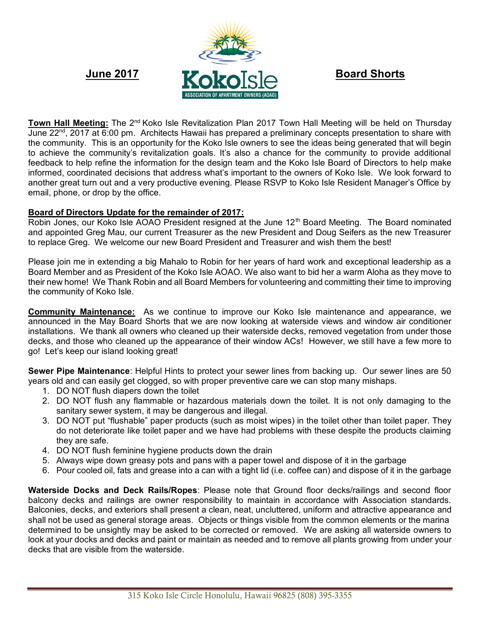

**Town Hall Meeting:** The 2<sup>nd</sup> Koko Isle Revitalization Plan 2017 Town Hall Meeting will be held on Thursday June 22<sup>nd</sup>, 2017 at 6:00 pm. Architects Hawaii has prepared a preliminary concepts presentation to share with the community. This is an opportunity for the Koko Isle owners to see the ideas being generated that will begin to achieve the community's revitalization goals. It's also a chance for the community to provide additional feedback to help refine the information for the design team and the Koko Isle Board of Directors to help make informed, coordinated decisions that address what's important to the owners of Koko Isle. We look forward to another great turn out and a very productive evening. Please RSVP to Koko Isle Resident Manager's Office by email, phone, or drop by the office.

# **Board of Directors Update for the remainder of 2017:**

Robin Jones, our Koko Isle AOAO President resigned at the June 12<sup>th</sup> Board Meeting. The Board nominated and appointed Greg Mau, our current Treasurer as the new President and Doug Seifers as the new Treasurer to replace Greg. We welcome our new Board President and Treasurer and wish them the best!

Please join me in extending a big Mahalo to Robin for her years of hard work and exceptional leadership as a Board Member and as President of the Koko Isle AOAO. We also want to bid her a warm Aloha as they move to their new home! We Thank Robin and all Board Members for volunteering and committing their time to improving the community of Koko Isle.

**Community Maintenance:** As we continue to improve our Koko Isle maintenance and appearance, we announced in the May Board Shorts that we are now looking at waterside views and window air conditioner installations. We thank all owners who cleaned up their waterside decks, removed vegetation from under those decks, and those who cleaned up the appearance of their window ACs! However, we still have a few more to go! Let's keep our island looking great!

**Sewer Pipe Maintenance**: Helpful Hints to protect your sewer lines from backing up. Our sewer lines are 50 years old and can easily get clogged, so with proper preventive care we can stop many mishaps.

- 1. DO NOT flush diapers down the toilet
- 2. DO NOT flush any flammable or hazardous materials down the toilet. It is not only damaging to the sanitary sewer system, it may be dangerous and illegal.
- 3. DO NOT put "flushable" paper products (such as moist wipes) in the toilet other than toilet paper. They do not deteriorate like toilet paper and we have had problems with these despite the products claiming they are safe.
- 4. DO NOT flush feminine hygiene products down the drain
- 5. Always wipe down greasy pots and pans with a paper towel and dispose of it in the garbage
- 6. Pour cooled oil, fats and grease into a can with a tight lid (i.e. coffee can) and dispose of it in the garbage

**Waterside Docks and Deck Rails/Ropes**: Please note that Ground floor decks/railings and second floor balcony decks and railings are owner responsibility to maintain in accordance with Association standards. Balconies, decks, and exteriors shall present a clean, neat, uncluttered, uniform and attractive appearance and shall not be used as general storage areas. Objects or things visible from the common elements or the marina determined to be unsightly may be asked to be corrected or removed. We are asking all waterside owners to look at your docks and decks and paint or maintain as needed and to remove all plants growing from under your decks that are visible from the waterside.